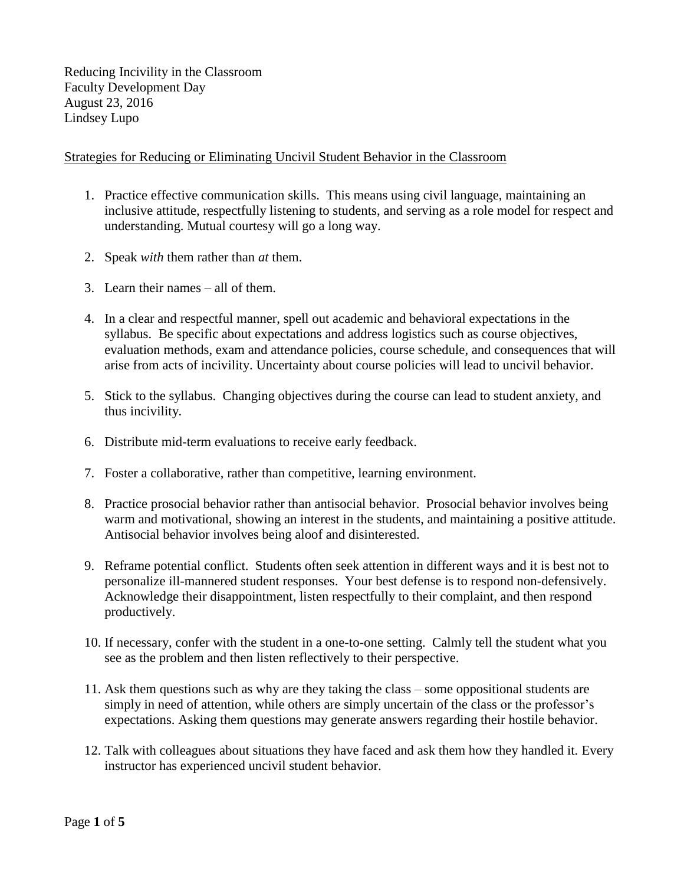Reducing Incivility in the Classroom Faculty Development Day August 23, 2016 Lindsey Lupo

#### Strategies for Reducing or Eliminating Uncivil Student Behavior in the Classroom

- 1. Practice effective communication skills. This means using civil language, maintaining an inclusive attitude, respectfully listening to students, and serving as a role model for respect and understanding. Mutual courtesy will go a long way.
- 2. Speak *with* them rather than *at* them.
- 3. Learn their names all of them.
- 4. In a clear and respectful manner, spell out academic and behavioral expectations in the syllabus. Be specific about expectations and address logistics such as course objectives, evaluation methods, exam and attendance policies, course schedule, and consequences that will arise from acts of incivility. Uncertainty about course policies will lead to uncivil behavior.
- 5. Stick to the syllabus. Changing objectives during the course can lead to student anxiety, and thus incivility.
- 6. Distribute mid-term evaluations to receive early feedback.
- 7. Foster a collaborative, rather than competitive, learning environment.
- 8. Practice prosocial behavior rather than antisocial behavior. Prosocial behavior involves being warm and motivational, showing an interest in the students, and maintaining a positive attitude. Antisocial behavior involves being aloof and disinterested.
- 9. Reframe potential conflict. Students often seek attention in different ways and it is best not to personalize ill-mannered student responses. Your best defense is to respond non-defensively. Acknowledge their disappointment, listen respectfully to their complaint, and then respond productively.
- 10. If necessary, confer with the student in a one-to-one setting. Calmly tell the student what you see as the problem and then listen reflectively to their perspective.
- 11. Ask them questions such as why are they taking the class some oppositional students are simply in need of attention, while others are simply uncertain of the class or the professor's expectations. Asking them questions may generate answers regarding their hostile behavior.
- 12. Talk with colleagues about situations they have faced and ask them how they handled it. Every instructor has experienced uncivil student behavior.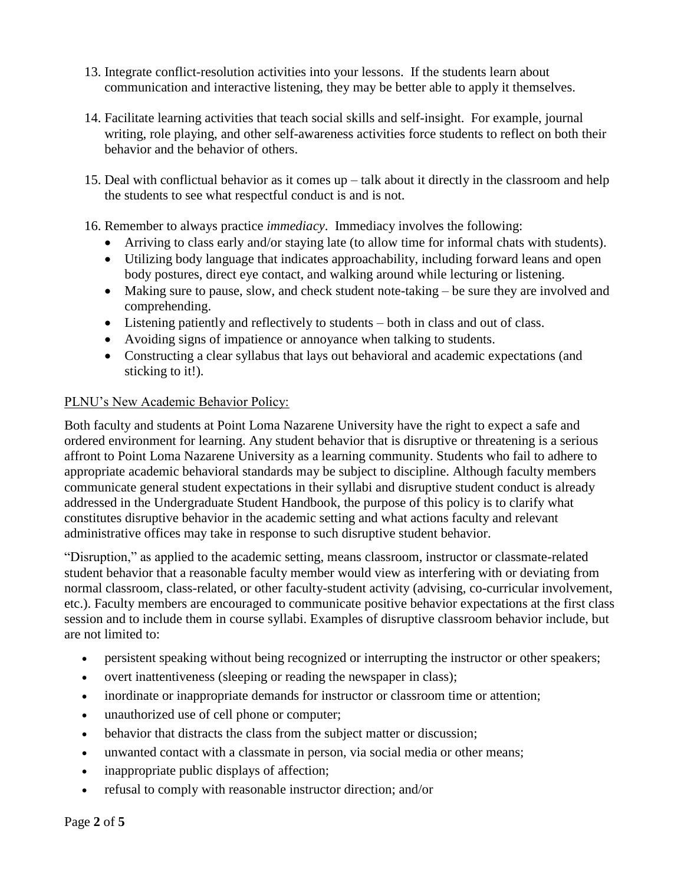- 13. Integrate conflict-resolution activities into your lessons. If the students learn about communication and interactive listening, they may be better able to apply it themselves.
- 14. Facilitate learning activities that teach social skills and self-insight. For example, journal writing, role playing, and other self-awareness activities force students to reflect on both their behavior and the behavior of others.
- 15. Deal with conflictual behavior as it comes up talk about it directly in the classroom and help the students to see what respectful conduct is and is not.
- 16. Remember to always practice *immediacy*. Immediacy involves the following:
	- Arriving to class early and/or staying late (to allow time for informal chats with students).
	- Utilizing body language that indicates approachability, including forward leans and open body postures, direct eye contact, and walking around while lecturing or listening.
	- Making sure to pause, slow, and check student note-taking be sure they are involved and comprehending.
	- Listening patiently and reflectively to students both in class and out of class.
	- Avoiding signs of impatience or annoyance when talking to students.
	- Constructing a clear syllabus that lays out behavioral and academic expectations (and sticking to it!).

## PLNU's New Academic Behavior Policy:

Both faculty and students at Point Loma Nazarene University have the right to expect a safe and ordered environment for learning. Any student behavior that is disruptive or threatening is a serious affront to Point Loma Nazarene University as a learning community. Students who fail to adhere to appropriate academic behavioral standards may be subject to discipline. Although faculty members communicate general student expectations in their syllabi and disruptive student conduct is already addressed in the Undergraduate Student Handbook, the purpose of this policy is to clarify what constitutes disruptive behavior in the academic setting and what actions faculty and relevant administrative offices may take in response to such disruptive student behavior.

"Disruption," as applied to the academic setting, means classroom, instructor or classmate-related student behavior that a reasonable faculty member would view as interfering with or deviating from normal classroom, class-related, or other faculty-student activity (advising, co-curricular involvement, etc.). Faculty members are encouraged to communicate positive behavior expectations at the first class session and to include them in course syllabi. Examples of disruptive classroom behavior include, but are not limited to:

- persistent speaking without being recognized or interrupting the instructor or other speakers;
- overt inattentiveness (sleeping or reading the newspaper in class);
- inordinate or inappropriate demands for instructor or classroom time or attention;
- unauthorized use of cell phone or computer;
- behavior that distracts the class from the subject matter or discussion;
- unwanted contact with a classmate in person, via social media or other means;
- inappropriate public displays of affection;
- refusal to comply with reasonable instructor direction; and/or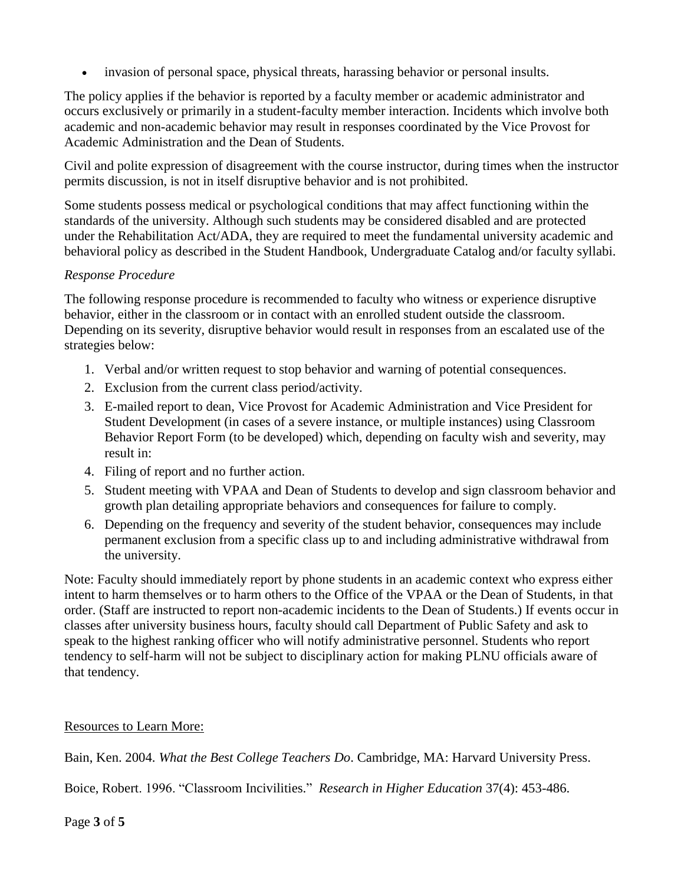invasion of personal space, physical threats, harassing behavior or personal insults.

The policy applies if the behavior is reported by a faculty member or academic administrator and occurs exclusively or primarily in a student-faculty member interaction. Incidents which involve both academic and non-academic behavior may result in responses coordinated by the Vice Provost for Academic Administration and the Dean of Students.

Civil and polite expression of disagreement with the course instructor, during times when the instructor permits discussion, is not in itself disruptive behavior and is not prohibited.

Some students possess medical or psychological conditions that may affect functioning within the standards of the university. Although such students may be considered disabled and are protected under the Rehabilitation Act/ADA, they are required to meet the fundamental university academic and behavioral policy as described in the Student Handbook, Undergraduate Catalog and/or faculty syllabi.

# *Response Procedure*

The following response procedure is recommended to faculty who witness or experience disruptive behavior, either in the classroom or in contact with an enrolled student outside the classroom. Depending on its severity, disruptive behavior would result in responses from an escalated use of the strategies below:

- 1. Verbal and/or written request to stop behavior and warning of potential consequences.
- 2. Exclusion from the current class period/activity.
- 3. E-mailed report to dean, Vice Provost for Academic Administration and Vice President for Student Development (in cases of a severe instance, or multiple instances) using Classroom Behavior Report Form (to be developed) which, depending on faculty wish and severity, may result in:
- 4. Filing of report and no further action.
- 5. Student meeting with VPAA and Dean of Students to develop and sign classroom behavior and growth plan detailing appropriate behaviors and consequences for failure to comply.
- 6. Depending on the frequency and severity of the student behavior, consequences may include permanent exclusion from a specific class up to and including administrative withdrawal from the university.

Note: Faculty should immediately report by phone students in an academic context who express either intent to harm themselves or to harm others to the Office of the VPAA or the Dean of Students, in that order. (Staff are instructed to report non-academic incidents to the Dean of Students.) If events occur in classes after university business hours, faculty should call Department of Public Safety and ask to speak to the highest ranking officer who will notify administrative personnel. Students who report tendency to self-harm will not be subject to disciplinary action for making PLNU officials aware of that tendency.

## Resources to Learn More:

Bain, Ken. 2004. *What the Best College Teachers Do*. Cambridge, MA: Harvard University Press.

Boice, Robert. 1996. "Classroom Incivilities." *Research in Higher Education* 37(4): 453-486.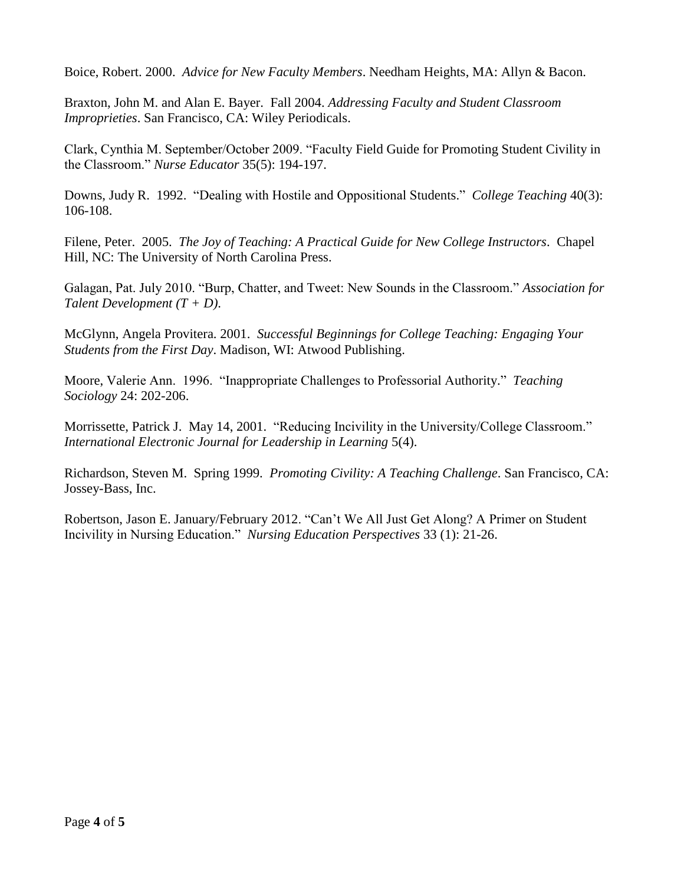Boice, Robert. 2000. *Advice for New Faculty Members*. Needham Heights, MA: Allyn & Bacon.

Braxton, John M. and Alan E. Bayer. Fall 2004. *Addressing Faculty and Student Classroom Improprieties*. San Francisco, CA: Wiley Periodicals.

Clark, Cynthia M. September/October 2009. "Faculty Field Guide for Promoting Student Civility in the Classroom." *Nurse Educator* 35(5): 194-197.

Downs, Judy R. 1992. "Dealing with Hostile and Oppositional Students." *College Teaching* 40(3): 106-108.

Filene, Peter. 2005. *The Joy of Teaching: A Practical Guide for New College Instructors*. Chapel Hill, NC: The University of North Carolina Press.

Galagan, Pat. July 2010. "Burp, Chatter, and Tweet: New Sounds in the Classroom." *Association for Talent Development (T + D)*.

McGlynn, Angela Provitera. 2001. *Successful Beginnings for College Teaching: Engaging Your Students from the First Day*. Madison, WI: Atwood Publishing.

Moore, Valerie Ann. 1996. "Inappropriate Challenges to Professorial Authority." *Teaching Sociology* 24: 202-206.

Morrissette, Patrick J. May 14, 2001. "Reducing Incivility in the University/College Classroom." *International Electronic Journal for Leadership in Learning* 5(4).

Richardson, Steven M. Spring 1999. *Promoting Civility: A Teaching Challenge*. San Francisco, CA: Jossey-Bass, Inc.

Robertson, Jason E. January/February 2012. "Can't We All Just Get Along? A Primer on Student Incivility in Nursing Education." *Nursing Education Perspectives* 33 (1): 21-26.